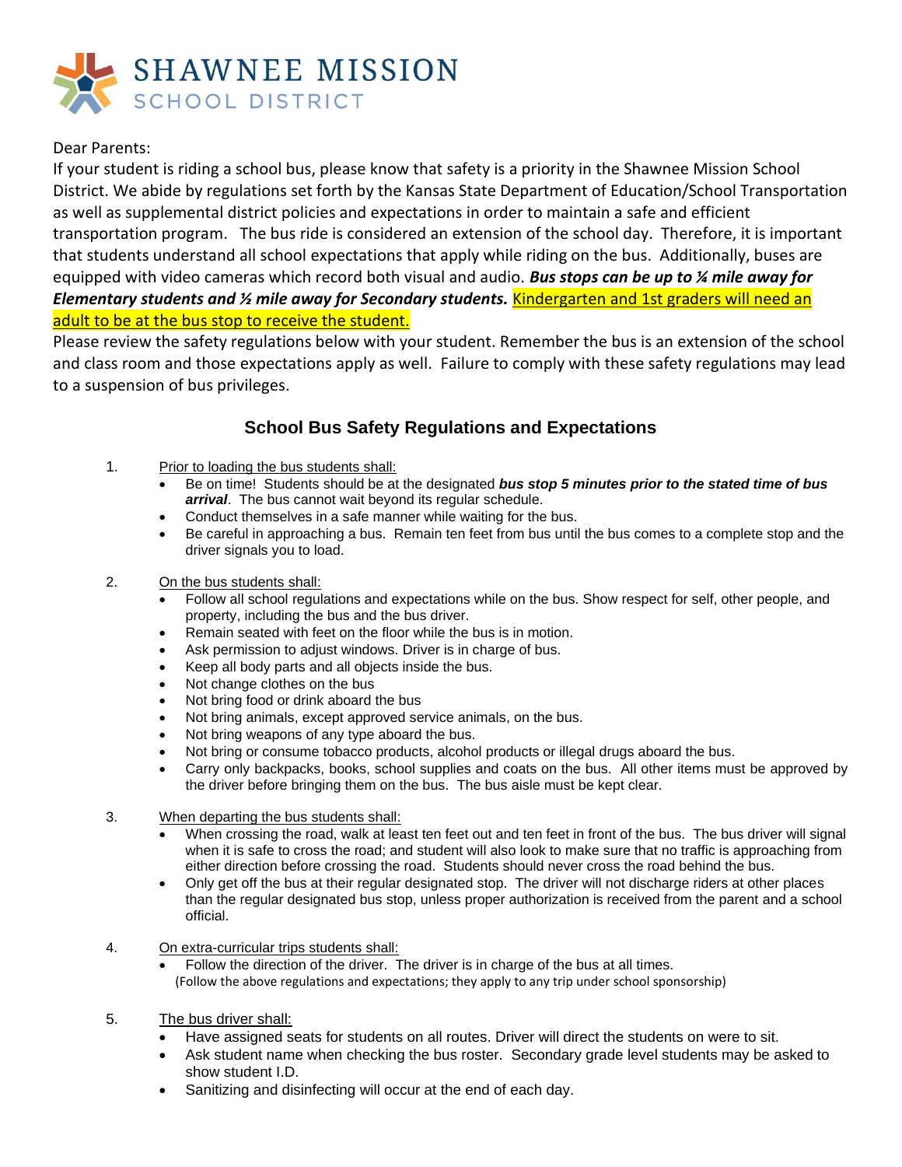

## Dear Parents:

If your student is riding a school bus, please know that safety is a priority in the Shawnee Mission School District. We abide by regulations set forth by the Kansas State Department of Education/School Transportation as well as supplemental district policies and expectations in order to maintain a safe and efficient transportation program. The bus ride is considered an extension of the school day. Therefore, it is important that students understand all school expectations that apply while riding on the bus. Additionally, buses are equipped with video cameras which record both visual and audio. *Bus stops can be up to ¼ mile away for Elementary students and ½ mile away for Secondary students.* Kindergarten and 1st graders will need an adult to be at the bus stop to receive the student.

Please review the safety regulations below with your student. Remember the bus is an extension of the school and class room and those expectations apply as well. Failure to comply with these safety regulations may lead to a suspension of bus privileges.

## **School Bus Safety Regulations and Expectations**

- 1. Prior to loading the bus students shall:
	- Be on time! Students should be at the designated *bus stop 5 minutes prior to the stated time of bus arrival*. The bus cannot wait beyond its regular schedule.
	- Conduct themselves in a safe manner while waiting for the bus.
	- Be careful in approaching a bus. Remain ten feet from bus until the bus comes to a complete stop and the driver signals you to load.
- 2. On the bus students shall:
	- Follow all school regulations and expectations while on the bus. Show respect for self, other people, and property, including the bus and the bus driver.
	- Remain seated with feet on the floor while the bus is in motion.
	- Ask permission to adjust windows. Driver is in charge of bus.
	- Keep all body parts and all objects inside the bus.
	- Not change clothes on the bus
	- Not bring food or drink aboard the bus
	- Not bring animals, except approved service animals, on the bus.
	- Not bring weapons of any type aboard the bus.
	- Not bring or consume tobacco products, alcohol products or illegal drugs aboard the bus.
	- Carry only backpacks, books, school supplies and coats on the bus. All other items must be approved by the driver before bringing them on the bus. The bus aisle must be kept clear.
- 3. When departing the bus students shall:
	- When crossing the road, walk at least ten feet out and ten feet in front of the bus. The bus driver will signal when it is safe to cross the road; and student will also look to make sure that no traffic is approaching from either direction before crossing the road. Students should never cross the road behind the bus.
	- Only get off the bus at their regular designated stop. The driver will not discharge riders at other places than the regular designated bus stop, unless proper authorization is received from the parent and a school official.
- 4. On extra-curricular trips students shall:
	- Follow the direction of the driver. The driver is in charge of the bus at all times. (Follow the above regulations and expectations; they apply to any trip under school sponsorship)
- 5. The bus driver shall:
	- Have assigned seats for students on all routes. Driver will direct the students on were to sit.
	- Ask student name when checking the bus roster. Secondary grade level students may be asked to show student I.D.
	- Sanitizing and disinfecting will occur at the end of each day.